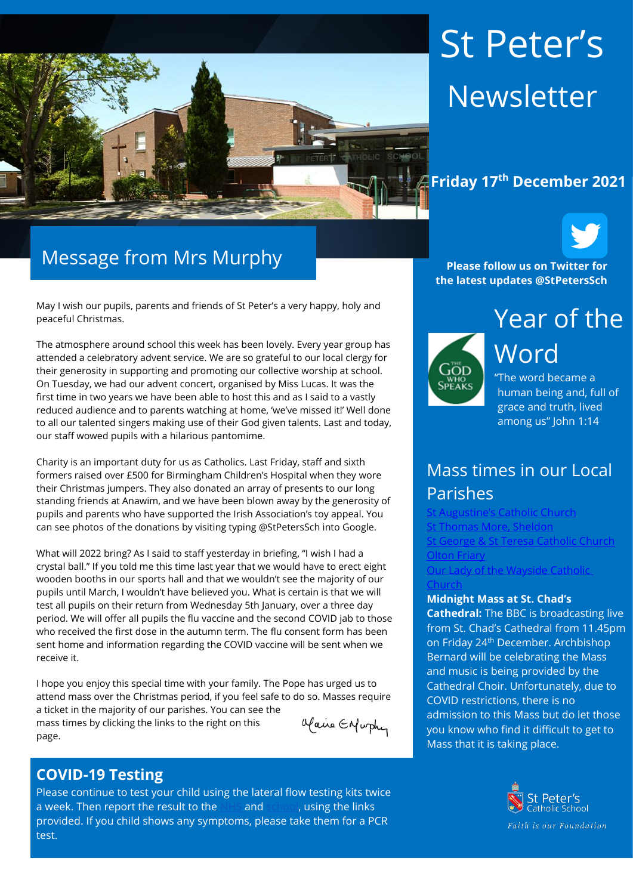

# St Peter's Newsletter



May I wish our pupils, parents and friends of St Peter's a very happy, holy and peaceful Christmas.

The atmosphere around school this week has been lovely. Every year group has attended a celebratory advent service. We are so grateful to our local clergy for their generosity in supporting and promoting our collective worship at school. On Tuesday, we had our advent concert, organised by Miss Lucas. It was the first time in two years we have been able to host this and as I said to a vastly reduced audience and to parents watching at home, 'we've missed it!' Well done to all our talented singers making use of their God given talents. Last and today, our staff wowed pupils with a hilarious pantomime.

Charity is an important duty for us as Catholics. Last Friday, staff and sixth formers raised over £500 for Birmingham Children's Hospital when they wore their Christmas jumpers. They also donated an array of presents to our long standing friends at Anawim, and we have been blown away by the generosity of pupils and parents who have supported the Irish Association's toy appeal. You can see photos of the donations by visiting typing @StPetersSch into Google.

What will 2022 bring? As I said to staff yesterday in briefing, "I wish I had a crystal ball." If you told me this time last year that we would have to erect eight wooden booths in our sports hall and that we wouldn't see the majority of our pupils until March, I wouldn't have believed you. What is certain is that we will test all pupils on their return from Wednesday 5th January, over a three day period. We will offer all pupils the flu vaccine and the second COVID jab to those who received the first dose in the autumn term. The flu consent form has been sent home and information regarding the COVID vaccine will be sent when we receive it.

I hope you enjoy this special time with your family. The Pope has urged us to attend mass over the Christmas period, if you feel safe to do so. Masses require a ticket in the majority of our parishes. You can see the alaire Enfurthy mass times by clicking the links to the right on this page.

#### **COVID-19 Testing**

Please continue to test your child using the lateral flow testing kits twice a week. Then report the result to the [NHS](https://protect-eu.mimecast.com/s/FGTjCkrj2Uql2qC2sec8?domain=gov.uk) and [school,](https://protect-eu.mimecast.com/s/0JpMCl2kRSzGRzf9XFat?domain=forms.office.com) using the links provided. If you child shows any symptoms, please take them for a PCR test.

**Please follow us on Twitter for the latest updates @StPetersSch**



Year of the Word "The word became a

human being and, full of grace and truth, lived among us" John 1:14

# Mass times in our Local Parishes

Catholic Church [St Thomas More, Sheldon](https://www.stthomasmorercchurch.com/) **[St George & St Teresa Catholic Church](https://www.catholicchurch.dorridge.uk/)** [Olton Friary](https://www.oltonfriary.org.uk/) [Our Lady of the Wayside Catholic](http://ourladyofthewaysidechurchshirley.co.uk/) 

#### **[Church](http://ourladyofthewaysidechurchshirley.co.uk/)**

#### **Midnight Mass at St. Chad's**

**Cathedral:** The BBC is broadcasting live from St. Chad's Cathedral from 11.45pm on Friday 24th December. Archbishop Bernard will be celebrating the Mass and music is being provided by the Cathedral Choir. Unfortunately, due to COVID restrictions, there is no admission to this Mass but do let those you know who find it difficult to get to Mass that it is taking place.

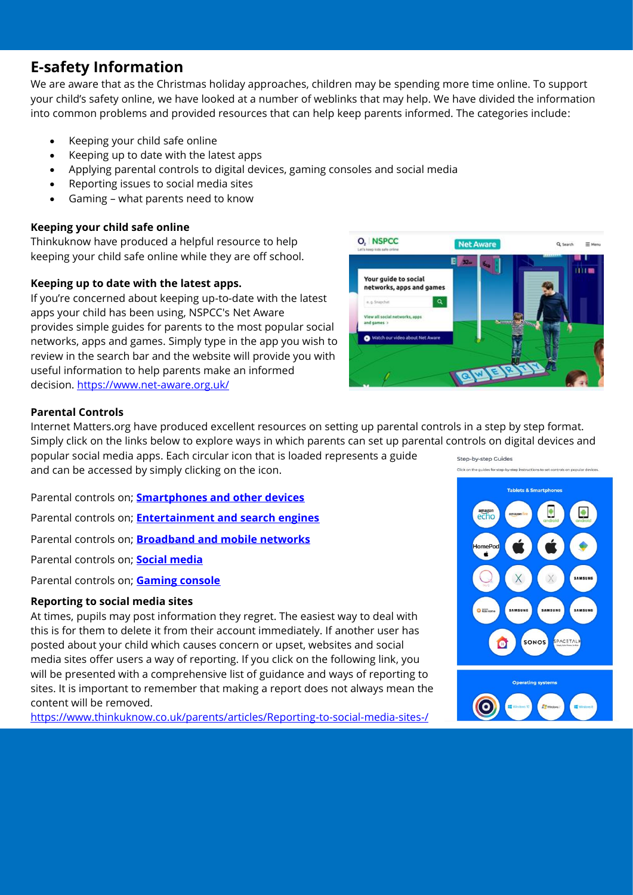# **E-safety Information**

We are aware that as the Christmas holiday approaches, children may be spending more time online. To support your child's safety online, we have looked at a number of weblinks that may help. We have divided the information into common problems and provided resources that can help keep parents informed. The categories include:

- Keeping your child safe online
- Keeping up to date with the latest apps
- Applying parental controls to digital devices, gaming consoles and social media
- Reporting issues to social media sites
- Gaming what parents need to know

#### **Keeping your child safe online**

Thinkuknow have produced a helpful resource to help keeping your child safe online while they are off school.

#### **Keeping up to date with the latest apps.**

If you're concerned about keeping up-to-date with the latest apps your child has been using, NSPCC's Net Aware provides simple guides for parents to the most popular social networks, apps and games. Simply type in the app you wish to review in the search bar and the website will provide you with useful information to help parents make an informed decision.<https://www.net-aware.org.uk/>



#### **Parental Controls**

Internet Matters.org have produced excellent resources on setting up parental controls in a step by step format. Simply click on the links below to explore ways in which parents can set up parental controls on digital devices and popular social media apps. Each circular icon that is loaded represents a guide Step-by-step Guides

and can be accessed by simply clicking on the icon.

Parental controls on; **[Smartphones and other devices](https://www.internetmatters.org/parental-controls/smartphones-and-other-devices/)**

Parental controls on; **[Entertainment and search engines](https://www.internetmatters.org/blog/parental-controls/entertainment-search-engines/)**

Parental controls on; **[Broadband and mobile networks](https://www.internetmatters.org/parental-controls/broadband-mobile/)**

Parental controls on; **[Social media](https://www.internetmatters.org/blog/parental-controls/social-media/)**

Parental controls on; **[Gaming console](https://www.internetmatters.org/blog/parental-controls/gaming-consoles/)**

#### **Reporting to social media sites**

At times, pupils may post information they regret. The easiest way to deal with this is for them to delete it from their account immediately. If another user has posted about your child which causes concern or upset, websites and social media sites offer users a way of reporting. If you click on the following link, you will be presented with a comprehensive list of guidance and ways of reporting to sites. It is important to remember that making a report does not always mean the content will be removed.

<https://www.thinkuknow.co.uk/parents/articles/Reporting-to-social-media-sites-/>

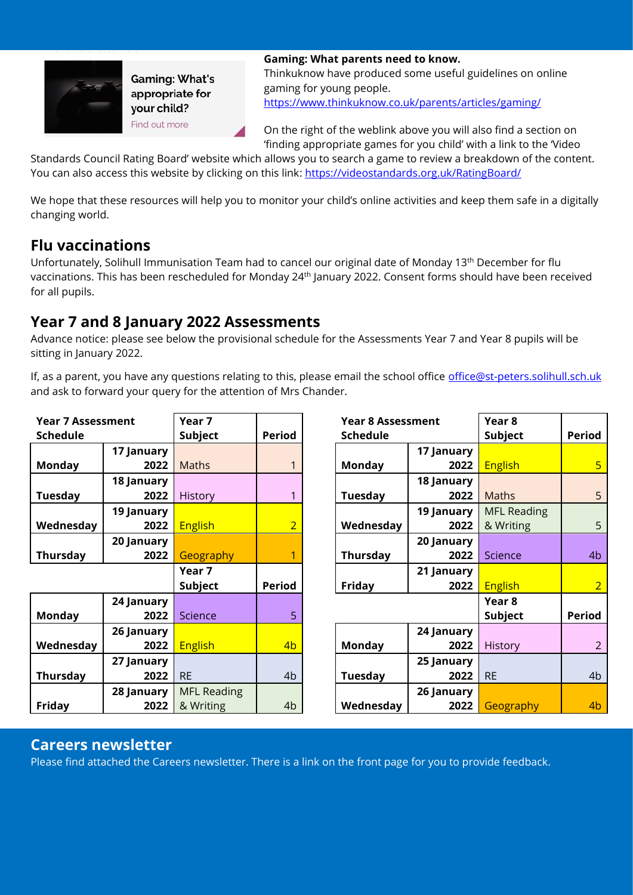

**Gaming: What's** appropriate for your child? Find out more

**Gaming: What parents need to know.** Thinkuknow have produced some useful guidelines on online gaming for young people. <https://www.thinkuknow.co.uk/parents/articles/gaming/>

On the right of the weblink above you will also find a section on 'finding appropriate games for you child' with a link to the 'Video

Standards Council Rating Board' website which allows you to search a game to review a breakdown of the content. You can also access this website by clicking on this link: <https://videostandards.org.uk/RatingBoard/>

We hope that these resources will help you to monitor your child's online activities and keep them safe in a digitally changing world.

# **Flu vaccinations**

Unfortunately, Solihull Immunisation Team had to cancel our original date of Monday 13th December for flu vaccinations. This has been rescheduled for Monday 24<sup>th</sup> January 2022. Consent forms should have been received for all pupils.

# **Year 7 and 8 January 2022 Assessments**

Advance notice: please see below the provisional schedule for the Assessments Year 7 and Year 8 pupils will be sitting in January 2022.

If, as a parent, you have any questions relating to this, please email the school office [office@st-peters.solihull.sch.uk](mailto:office@st-peters.solihull.sch.uk) and ask to forward your query for the attention of Mrs Chander.

| <b>Year 7 Assessment</b> |            | Year 7             |                | <b>Year 8 Assessment</b> |            | Year 8             |                |
|--------------------------|------------|--------------------|----------------|--------------------------|------------|--------------------|----------------|
| <b>Schedule</b>          |            | <b>Subject</b>     | <b>Period</b>  | <b>Schedule</b>          |            | <b>Subject</b>     | <b>Period</b>  |
|                          | 17 January |                    |                |                          | 17 January |                    |                |
| <b>Monday</b>            | 2022       | <b>Maths</b>       |                | <b>Monday</b>            | 2022       | <b>English</b>     | $5\overline{}$ |
|                          | 18 January |                    |                |                          | 18 January |                    |                |
| Tuesday                  | 2022       | History            |                | Tuesday                  | 2022       | <b>Maths</b>       | 5              |
|                          | 19 January |                    |                |                          | 19 January | <b>MFL Reading</b> |                |
| Wednesday                | 2022       | <b>English</b>     | $\overline{2}$ | Wednesday                | 2022       | & Writing          | 5              |
|                          | 20 January |                    |                |                          | 20 January |                    |                |
| <b>Thursday</b>          | 2022       | Geography          | 1              | <b>Thursday</b>          | 2022       | Science            | 4 <sub>b</sub> |
|                          |            | Year 7             |                |                          | 21 January |                    |                |
|                          |            | <b>Subject</b>     | <b>Period</b>  | Friday                   | 2022       | <b>English</b>     | $\overline{2}$ |
|                          | 24 January |                    |                |                          |            | Year 8             |                |
| <b>Monday</b>            | 2022       | Science            | 5              |                          |            | <b>Subject</b>     | <b>Period</b>  |
|                          | 26 January |                    |                |                          | 24 January |                    |                |
| Wednesday                | 2022       | <b>English</b>     | 4 <sub>b</sub> | Monday                   | 2022       | <b>History</b>     | $\overline{2}$ |
|                          | 27 January |                    |                |                          | 25 January |                    |                |
| <b>Thursday</b>          | 2022       | <b>RE</b>          | 4 <sub>b</sub> | Tuesday                  | 2022       | <b>RE</b>          | 4 <sub>b</sub> |
|                          | 28 January | <b>MFL Reading</b> |                |                          | 26 January |                    |                |
| Friday                   | 2022       | & Writing          | 4 <sub>b</sub> | Wednesday                | 2022       | Geography          | 4 <sub>b</sub> |

#### **Careers newsletter**

Please find attached the Careers newsletter. There is a link on the front page for you to provide feedback.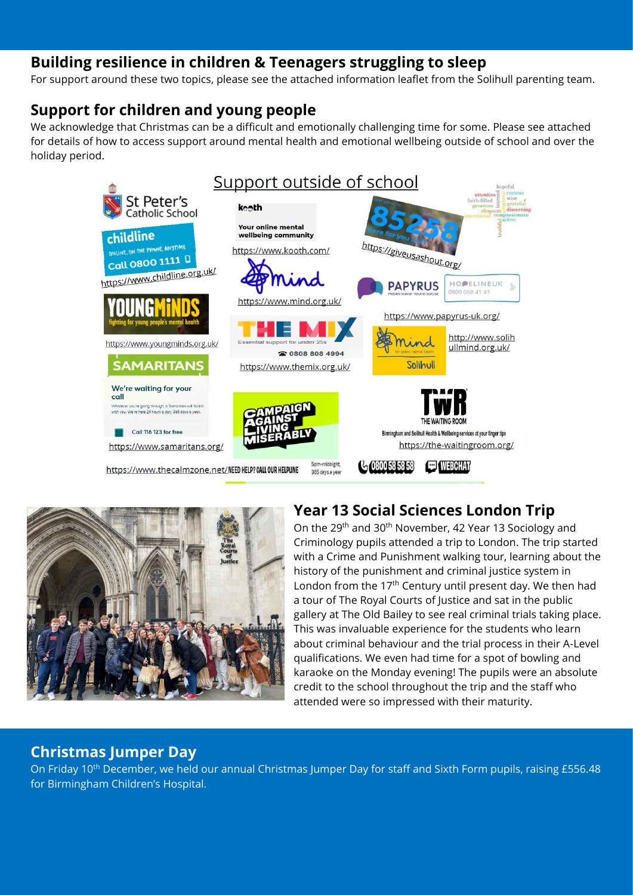# **Building resilience in children & Teenagers struggling to sleep**

For support around these two topics, please see the attached information leaflet from the Solihull parenting team.

# **Support for children and young people**

We acknowledge that Christmas can be a difficult and emotionally challenging time for some. Please see attached for details of how to access support around mental health and emotional wellbeing outside of school and over the holiday period.





# **Year 13 Social Sciences London Trip**

On the 29th and 30th November, 42 Year 13 Sociology and Criminology pupils attended a trip to London. The trip started with a Crime and Punishment walking tour, learning about the history of the punishment and criminal justice system in London from the 17<sup>th</sup> Century until present day. We then had a tour of The Royal Courts of Justice and sat in the public gallery at The Old Bailey to see real criminal trials taking place. This was invaluable experience for the students who learn about criminal behaviour and the trial process in their A-Level qualifications. We even had time for a spot of bowling and karaoke on the Monday evening! The pupils were an absolute credit to the school throughout the trip and the staff who attended were so impressed with their maturity.

#### **Christmas Jumper Day**

On Friday 10<sup>th</sup> December, we held our annual Christmas Jumper Day for staff and Sixth Form pupils, raising £556.48 for Birmingham Children's Hospital.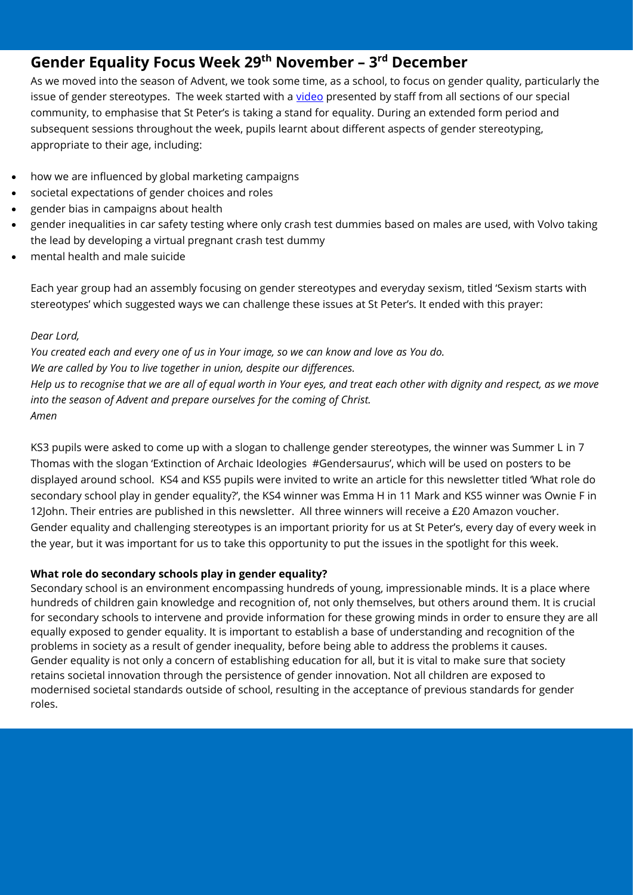# **Gender Equality Focus Week 29th November – 3 rd December**

As we moved into the season of Advent, we took some time, as a school, to focus on gender quality, particularly the issue of gender stereotypes. The week started with a [video](https://www.youtube.com/watch?v=mjPQV_FJjN4) presented by staff from all sections of our special community, to emphasise that St Peter's is taking a stand for equality. During an extended form period and subsequent sessions throughout the week, pupils learnt about different aspects of gender stereotyping, appropriate to their age, including:

- how we are influenced by global marketing campaigns
- societal expectations of gender choices and roles
- gender bias in campaigns about health
- gender inequalities in car safety testing where only crash test dummies based on males are used, with Volvo taking the lead by developing a virtual pregnant crash test dummy
- mental health and male suicide

Each year group had an assembly focusing on gender stereotypes and everyday sexism, titled 'Sexism starts with stereotypes' which suggested ways we can challenge these issues at St Peter's. It ended with this prayer:

#### *Dear Lord,*

*You created each and every one of us in Your image, so we can know and love as You do. We are called by You to live together in union, despite our differences. Help us to recognise that we are all of equal worth in Your eyes, and treat each other with dignity and respect, as we move into the season of Advent and prepare ourselves for the coming of Christ. Amen*

KS3 pupils were asked to come up with a slogan to challenge gender stereotypes, the winner was Summer L in 7 Thomas with the slogan 'Extinction of Archaic Ideologies #Gendersaurus', which will be used on posters to be displayed around school. KS4 and KS5 pupils were invited to write an article for this newsletter titled 'What role do secondary school play in gender equality?', the KS4 winner was Emma H in 11 Mark and KS5 winner was Ownie F in 12John. Their entries are published in this newsletter. All three winners will receive a £20 Amazon voucher. Gender equality and challenging stereotypes is an important priority for us at St Peter's, every day of every week in the year, but it was important for us to take this opportunity to put the issues in the spotlight for this week.

#### **What role do secondary schools play in gender equality?**

Secondary school is an environment encompassing hundreds of young, impressionable minds. It is a place where hundreds of children gain knowledge and recognition of, not only themselves, but others around them. It is crucial for secondary schools to intervene and provide information for these growing minds in order to ensure they are all equally exposed to gender equality. It is important to establish a base of understanding and recognition of the problems in society as a result of gender inequality, before being able to address the problems it causes. Gender equality is not only a concern of establishing education for all, but it is vital to make sure that society retains societal innovation through the persistence of gender innovation. Not all children are exposed to modernised societal standards outside of school, resulting in the acceptance of previous standards for gender roles.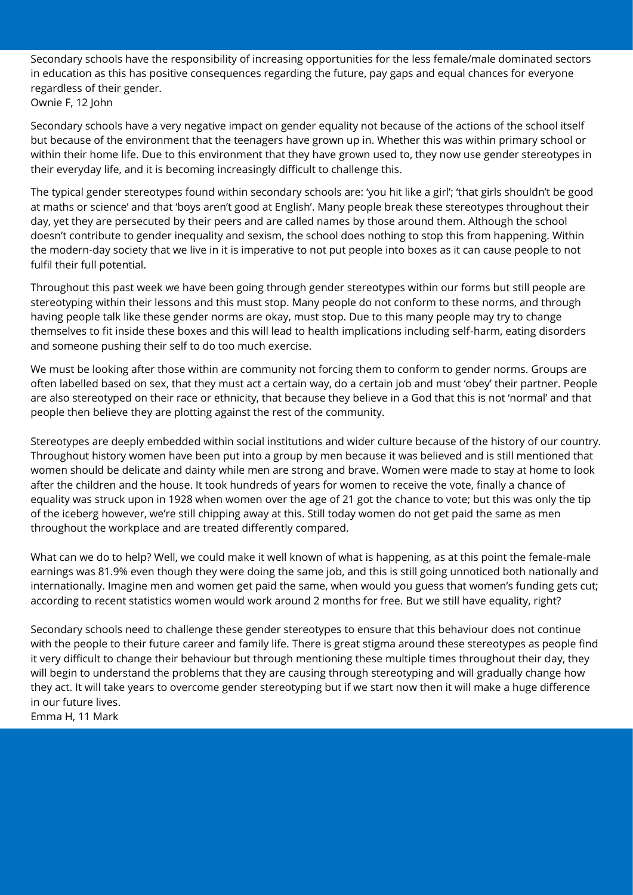Secondary schools have the responsibility of increasing opportunities for the less female/male dominated sectors in education as this has positive consequences regarding the future, pay gaps and equal chances for everyone regardless of their gender. Ownie F, 12 John

Secondary schools have a very negative impact on gender equality not because of the actions of the school itself but because of the environment that the teenagers have grown up in. Whether this was within primary school or within their home life. Due to this environment that they have grown used to, they now use gender stereotypes in their everyday life, and it is becoming increasingly difficult to challenge this.

The typical gender stereotypes found within secondary schools are: 'you hit like a girl'; 'that girls shouldn't be good at maths or science' and that 'boys aren't good at English'. Many people break these stereotypes throughout their day, yet they are persecuted by their peers and are called names by those around them. Although the school doesn't contribute to gender inequality and sexism, the school does nothing to stop this from happening. Within the modern-day society that we live in it is imperative to not put people into boxes as it can cause people to not fulfil their full potential.

Throughout this past week we have been going through gender stereotypes within our forms but still people are stereotyping within their lessons and this must stop. Many people do not conform to these norms, and through having people talk like these gender norms are okay, must stop. Due to this many people may try to change themselves to fit inside these boxes and this will lead to health implications including self-harm, eating disorders and someone pushing their self to do too much exercise.

We must be looking after those within are community not forcing them to conform to gender norms. Groups are often labelled based on sex, that they must act a certain way, do a certain job and must 'obey' their partner. People are also stereotyped on their race or ethnicity, that because they believe in a God that this is not 'normal' and that people then believe they are plotting against the rest of the community.

Stereotypes are deeply embedded within social institutions and wider culture because of the history of our country. Throughout history women have been put into a group by men because it was believed and is still mentioned that women should be delicate and dainty while men are strong and brave. Women were made to stay at home to look after the children and the house. It took hundreds of years for women to receive the vote, finally a chance of equality was struck upon in 1928 when women over the age of 21 got the chance to vote; but this was only the tip of the iceberg however, we're still chipping away at this. Still today women do not get paid the same as men throughout the workplace and are treated differently compared.

What can we do to help? Well, we could make it well known of what is happening, as at this point the female-male earnings was 81.9% even though they were doing the same job, and this is still going unnoticed both nationally and internationally. Imagine men and women get paid the same, when would you guess that women's funding gets cut; according to recent statistics women would work around 2 months for free. But we still have equality, right?

Secondary schools need to challenge these gender stereotypes to ensure that this behaviour does not continue with the people to their future career and family life. There is great stigma around these stereotypes as people find it very difficult to change their behaviour but through mentioning these multiple times throughout their day, they will begin to understand the problems that they are causing through stereotyping and will gradually change how they act. It will take years to overcome gender stereotyping but if we start now then it will make a huge difference in our future lives.

Emma H, 11 Mark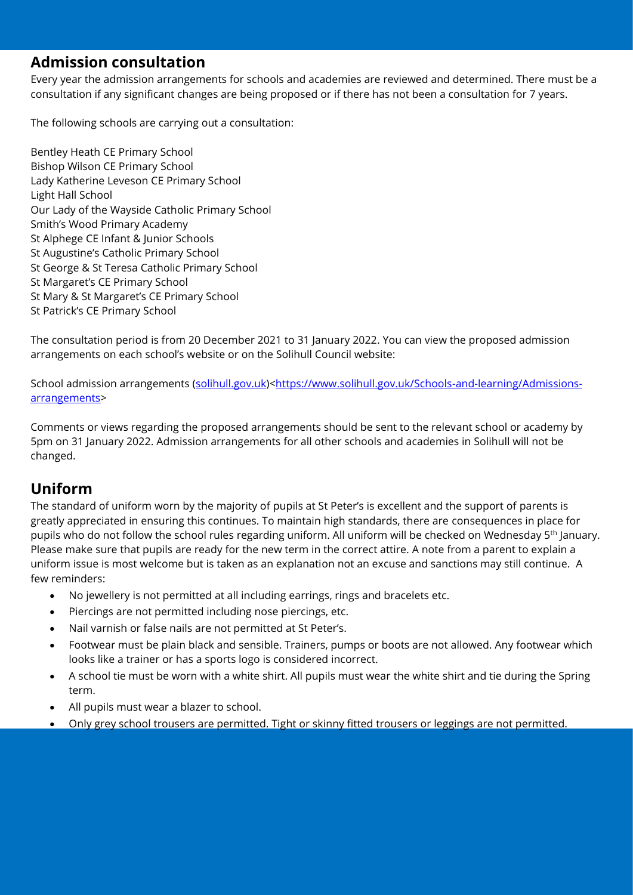#### **Admission consultation**

Every year the admission arrangements for schools and academies are reviewed and determined. There must be a consultation if any significant changes are being proposed or if there has not been a consultation for 7 years.

The following schools are carrying out a consultation:

Bentley Heath CE Primary School Bishop Wilson CE Primary School Lady Katherine Leveson CE Primary School Light Hall School Our Lady of the Wayside Catholic Primary School Smith's Wood Primary Academy St Alphege CE Infant & Junior Schools St Augustine's Catholic Primary School St George & St Teresa Catholic Primary School St Margaret's CE Primary School St Mary & St Margaret's CE Primary School St Patrick's CE Primary School

The consultation period is from 20 December 2021 to 31 January 2022. You can view the proposed admission arrangements on each school's website or on the Solihull Council website:

School admission arrangements [\(solihull.gov.uk\)](https://protect-eu.mimecast.com/s/41yrCj0gYHR3k5CWVHkq?domain=solihull.gov.uk)[<https://www.solihull.gov.uk/Schools-and-learning/Admissions](https://protect-eu.mimecast.com/s/yeALCkrj2U5rZWuV1TBd?domain=solihull.gov.uk)[arrangements>](https://protect-eu.mimecast.com/s/yeALCkrj2U5rZWuV1TBd?domain=solihull.gov.uk)

Comments or views regarding the proposed arrangements should be sent to the relevant school or academy by 5pm on 31 January 2022. Admission arrangements for all other schools and academies in Solihull will not be changed.

# **Uniform**

The standard of uniform worn by the majority of pupils at St Peter's is excellent and the support of parents is greatly appreciated in ensuring this continues. To maintain high standards, there are consequences in place for pupils who do not follow the school rules regarding uniform. All uniform will be checked on Wednesday 5<sup>th</sup> January. Please make sure that pupils are ready for the new term in the correct attire. A note from a parent to explain a uniform issue is most welcome but is taken as an explanation not an excuse and sanctions may still continue. A few reminders:

- No jewellery is not permitted at all including earrings, rings and bracelets etc.
- Piercings are not permitted including nose piercings, etc.
- Nail varnish or false nails are not permitted at St Peter's.
- Footwear must be plain black and sensible. Trainers, pumps or boots are not allowed. Any footwear which looks like a trainer or has a sports logo is considered incorrect.
- A school tie must be worn with a white shirt. All pupils must wear the white shirt and tie during the Spring term.
- All pupils must wear a blazer to school.
- Only grey school trousers are permitted. Tight or skinny fitted trousers or leggings are not permitted.